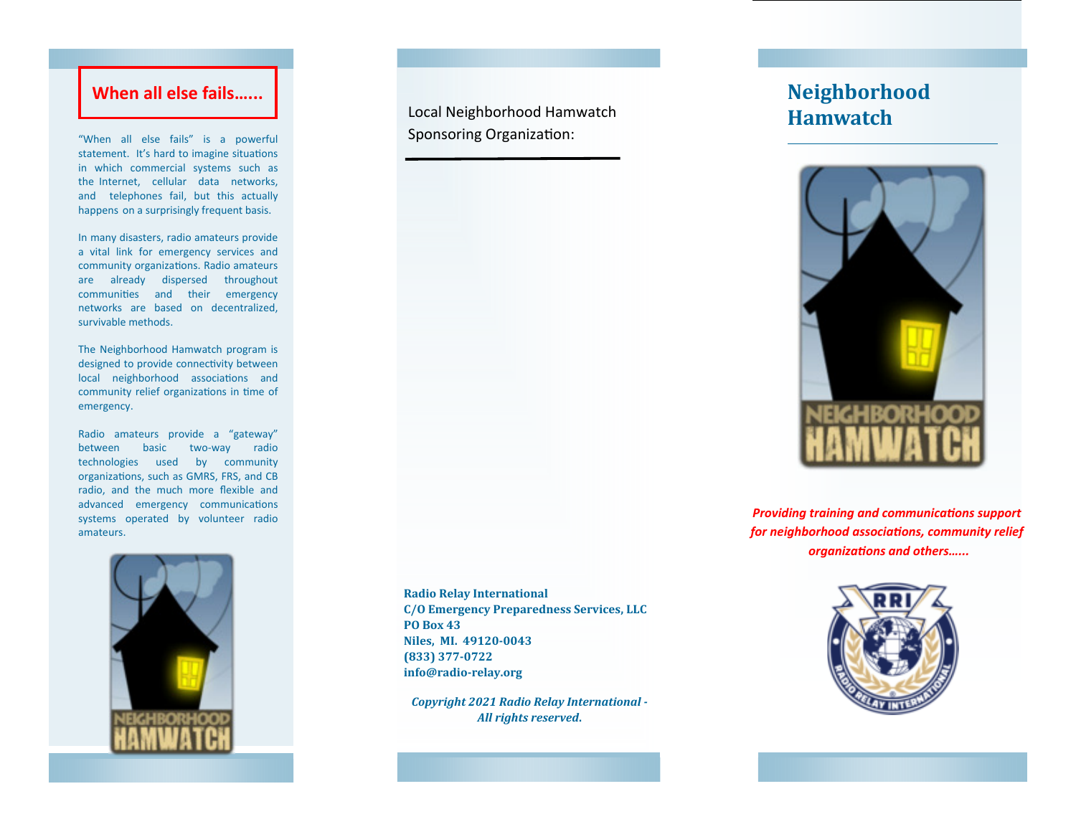## **When all else fails…...**

"When all else fails" is a powerful statement. It's hard to imagine situations in which commercial systems such as the Internet, cellular data networks, and telephones fail, but this actually happens on a surprisingly frequent basis.

In many disasters, radio amateurs provide a vital link for emergency services and community organizations. Radio amateurs are already dispersed throughout communities and their emergency networks are based on decentralized, survivable methods.

The Neighborhood Hamwatch program is designed to provide connectivity between local neighborhood associations and community relief organizations in time of emergency.

Radio amateurs provide a "gateway" between basic two‐way radio technologies used by community organizations, such as GMRS, FRS, and CB radio, and the much more flexible and advanced emergency communications systems operated by volunteer radio amateurs.



Local Neighborhood Hamwatch Sponsoring Organization:

**Radio Relay International C/O Emergency Preparedness Services, LLC PO Box 43 Niles, MI. 49120‐0043 (833) 377‐0722 info@radio‐relay.org**

*Copyright 2021 Radio Relay International ‐ All rights reserved***.**

# **Neighborhood Hamwatch**



*Providing training and communications support for neighborhood associaƟons, community relief organizaƟons and others…...*